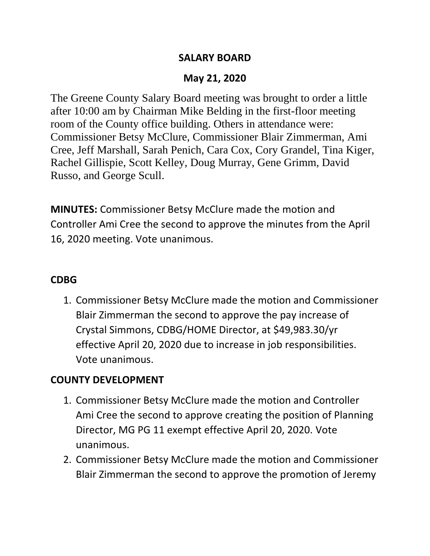#### **SALARY BOARD**

## **May 21, 2020**

The Greene County Salary Board meeting was brought to order a little after 10:00 am by Chairman Mike Belding in the first-floor meeting room of the County office building. Others in attendance were: Commissioner Betsy McClure, Commissioner Blair Zimmerman, Ami Cree, Jeff Marshall, Sarah Penich, Cara Cox, Cory Grandel, Tina Kiger, Rachel Gillispie, Scott Kelley, Doug Murray, Gene Grimm, David Russo, and George Scull.

**MINUTES:** Commissioner Betsy McClure made the motion and Controller Ami Cree the second to approve the minutes from the April 16, 2020 meeting. Vote unanimous.

#### **CDBG**

1. Commissioner Betsy McClure made the motion and Commissioner Blair Zimmerman the second to approve the pay increase of Crystal Simmons, CDBG/HOME Director, at \$49,983.30/yr effective April 20, 2020 due to increase in job responsibilities. Vote unanimous.

## **COUNTY DEVELOPMENT**

- 1. Commissioner Betsy McClure made the motion and Controller Ami Cree the second to approve creating the position of Planning Director, MG PG 11 exempt effective April 20, 2020. Vote unanimous.
- 2. Commissioner Betsy McClure made the motion and Commissioner Blair Zimmerman the second to approve the promotion of Jeremy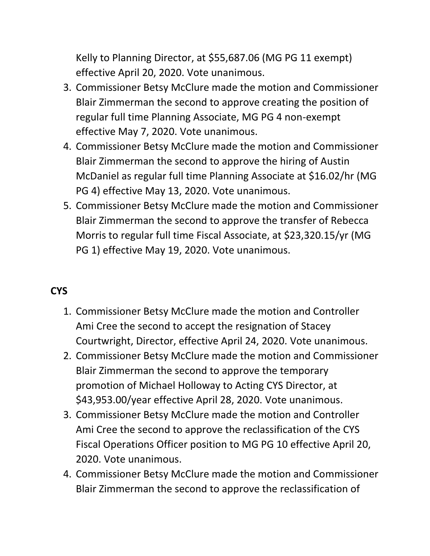Kelly to Planning Director, at \$55,687.06 (MG PG 11 exempt) effective April 20, 2020. Vote unanimous.

- 3. Commissioner Betsy McClure made the motion and Commissioner Blair Zimmerman the second to approve creating the position of regular full time Planning Associate, MG PG 4 non-exempt effective May 7, 2020. Vote unanimous.
- 4. Commissioner Betsy McClure made the motion and Commissioner Blair Zimmerman the second to approve the hiring of Austin McDaniel as regular full time Planning Associate at \$16.02/hr (MG PG 4) effective May 13, 2020. Vote unanimous.
- 5. Commissioner Betsy McClure made the motion and Commissioner Blair Zimmerman the second to approve the transfer of Rebecca Morris to regular full time Fiscal Associate, at \$23,320.15/yr (MG PG 1) effective May 19, 2020. Vote unanimous.

# **CYS**

- 1. Commissioner Betsy McClure made the motion and Controller Ami Cree the second to accept the resignation of Stacey Courtwright, Director, effective April 24, 2020. Vote unanimous.
- 2. Commissioner Betsy McClure made the motion and Commissioner Blair Zimmerman the second to approve the temporary promotion of Michael Holloway to Acting CYS Director, at \$43,953.00/year effective April 28, 2020. Vote unanimous.
- 3. Commissioner Betsy McClure made the motion and Controller Ami Cree the second to approve the reclassification of the CYS Fiscal Operations Officer position to MG PG 10 effective April 20, 2020. Vote unanimous.
- 4. Commissioner Betsy McClure made the motion and Commissioner Blair Zimmerman the second to approve the reclassification of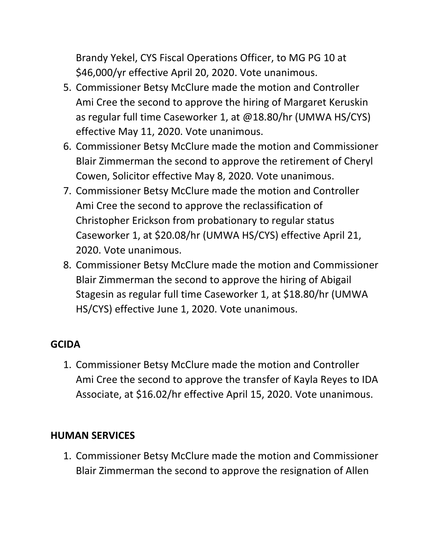Brandy Yekel, CYS Fiscal Operations Officer, to MG PG 10 at \$46,000/yr effective April 20, 2020. Vote unanimous.

- 5. Commissioner Betsy McClure made the motion and Controller Ami Cree the second to approve the hiring of Margaret Keruskin as regular full time Caseworker 1, at @18.80/hr (UMWA HS/CYS) effective May 11, 2020. Vote unanimous.
- 6. Commissioner Betsy McClure made the motion and Commissioner Blair Zimmerman the second to approve the retirement of Cheryl Cowen, Solicitor effective May 8, 2020. Vote unanimous.
- 7. Commissioner Betsy McClure made the motion and Controller Ami Cree the second to approve the reclassification of Christopher Erickson from probationary to regular status Caseworker 1, at \$20.08/hr (UMWA HS/CYS) effective April 21, 2020. Vote unanimous.
- 8. Commissioner Betsy McClure made the motion and Commissioner Blair Zimmerman the second to approve the hiring of Abigail Stagesin as regular full time Caseworker 1, at \$18.80/hr (UMWA HS/CYS) effective June 1, 2020. Vote unanimous.

## **GCIDA**

1. Commissioner Betsy McClure made the motion and Controller Ami Cree the second to approve the transfer of Kayla Reyes to IDA Associate, at \$16.02/hr effective April 15, 2020. Vote unanimous.

#### **HUMAN SERVICES**

1. Commissioner Betsy McClure made the motion and Commissioner Blair Zimmerman the second to approve the resignation of Allen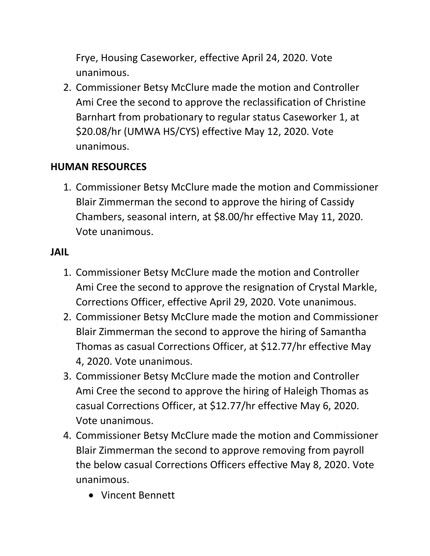Frye, Housing Caseworker, effective April 24, 2020. Vote unanimous.

2. Commissioner Betsy McClure made the motion and Controller Ami Cree the second to approve the reclassification of Christine Barnhart from probationary to regular status Caseworker 1, at \$20.08/hr (UMWA HS/CYS) effective May 12, 2020. Vote unanimous.

## **HUMAN RESOURCES**

1. Commissioner Betsy McClure made the motion and Commissioner Blair Zimmerman the second to approve the hiring of Cassidy Chambers, seasonal intern, at \$8.00/hr effective May 11, 2020. Vote unanimous.

## **JAIL**

- 1. Commissioner Betsy McClure made the motion and Controller Ami Cree the second to approve the resignation of Crystal Markle, Corrections Officer, effective April 29, 2020. Vote unanimous.
- 2. Commissioner Betsy McClure made the motion and Commissioner Blair Zimmerman the second to approve the hiring of Samantha Thomas as casual Corrections Officer, at \$12.77/hr effective May 4, 2020. Vote unanimous.
- 3. Commissioner Betsy McClure made the motion and Controller Ami Cree the second to approve the hiring of Haleigh Thomas as casual Corrections Officer, at \$12.77/hr effective May 6, 2020. Vote unanimous.
- 4. Commissioner Betsy McClure made the motion and Commissioner Blair Zimmerman the second to approve removing from payroll the below casual Corrections Officers effective May 8, 2020. Vote unanimous.
	- Vincent Bennett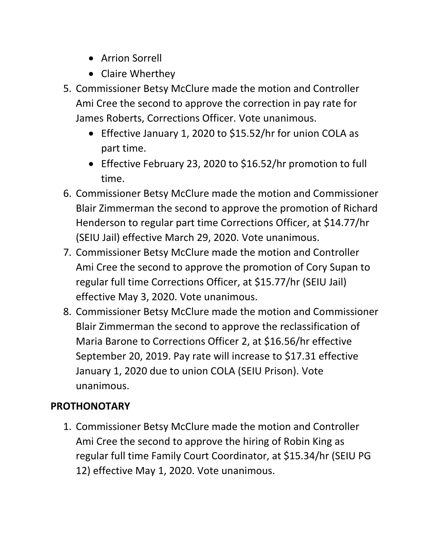- Arrion Sorrell
- Claire Wherthey
- 5. Commissioner Betsy McClure made the motion and Controller Ami Cree the second to approve the correction in pay rate for James Roberts, Corrections Officer. Vote unanimous.
	- Effective January 1, 2020 to \$15.52/hr for union COLA as part time.
	- Effective February 23, 2020 to \$16.52/hr promotion to full time.
- 6. Commissioner Betsy McClure made the motion and Commissioner Blair Zimmerman the second to approve the promotion of Richard Henderson to regular part time Corrections Officer, at \$14.77/hr (SEIU Jail) effective March 29, 2020. Vote unanimous.
- 7. Commissioner Betsy McClure made the motion and Controller Ami Cree the second to approve the promotion of Cory Supan to regular full time Corrections Officer, at \$15.77/hr (SEIU Jail) effective May 3, 2020. Vote unanimous.
- 8. Commissioner Betsy McClure made the motion and Commissioner Blair Zimmerman the second to approve the reclassification of Maria Barone to Corrections Officer 2, at \$16.56/hr effective September 20, 2019. Pay rate will increase to \$17.31 effective January 1, 2020 due to union COLA (SEIU Prison). Vote unanimous.

# **PROTHONOTARY**

1. Commissioner Betsy McClure made the motion and Controller Ami Cree the second to approve the hiring of Robin King as regular full time Family Court Coordinator, at \$15.34/hr (SEIU PG 12) effective May 1, 2020. Vote unanimous.